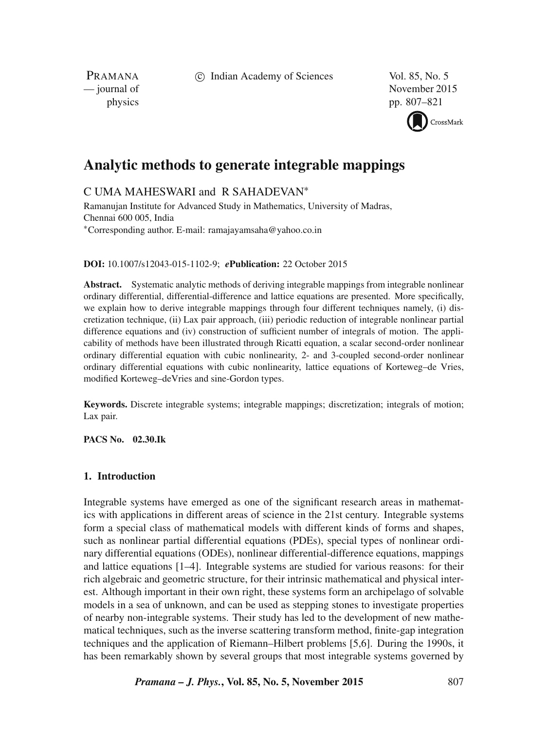c Indian Academy of Sciences Vol. 85, No. 5

PRAMANA

— journal of November 2015 physics pp. 807–821

CrossMark

# **Analytic methods to generate integrable mappings**

C UMA MAHESWARI and R SAHADEVAN<sup>∗</sup>

Ramanujan Institute for Advanced Study in Mathematics, University of Madras, Chennai 600 005, India <sup>∗</sup>Corresponding author. E-mail: ramajayamsaha@yahoo.co.in

**DOI:** 10.1007/s12043-015-1102-9; *e***Publication:** 22 October 2015

**Abstract.** Systematic analytic methods of deriving integrable mappings from integrable nonlinear ordinary differential, differential-difference and lattice equations are presented. More specifically, we explain how to derive integrable mappings through four different techniques namely, (i) discretization technique, (ii) Lax pair approach, (iii) periodic reduction of integrable nonlinear partial difference equations and (iv) construction of sufficient number of integrals of motion. The applicability of methods have been illustrated through Ricatti equation, a scalar second-order nonlinear ordinary differential equation with cubic nonlinearity, 2- and 3-coupled second-order nonlinear ordinary differential equations with cubic nonlinearity, lattice equations of Korteweg–de Vries, modified Korteweg–deVries and sine-Gordon types.

**Keywords.** Discrete integrable systems; integrable mappings; discretization; integrals of motion; Lax pair.

**PACS No. 02.30.Ik**

# **1. Introduction**

Integrable systems have emerged as one of the significant research areas in mathematics with applications in different areas of science in the 21st century. Integrable systems form a special class of mathematical models with different kinds of forms and shapes, such as nonlinear partial differential equations (PDEs), special types of nonlinear ordinary differential equations (ODEs), nonlinear differential-difference equations, mappings and lattice equations [1–4]. Integrable systems are studied for various reasons: for their rich algebraic and geometric structure, for their intrinsic mathematical and physical interest. Although important in their own right, these systems form an archipelago of solvable models in a sea of unknown, and can be used as stepping stones to investigate properties of nearby non-integrable systems. Their study has led to the development of new mathematical techniques, such as the inverse scattering transform method, finite-gap integration techniques and the application of Riemann–Hilbert problems [5,6]. During the 1990s, it has been remarkably shown by several groups that most integrable systems governed by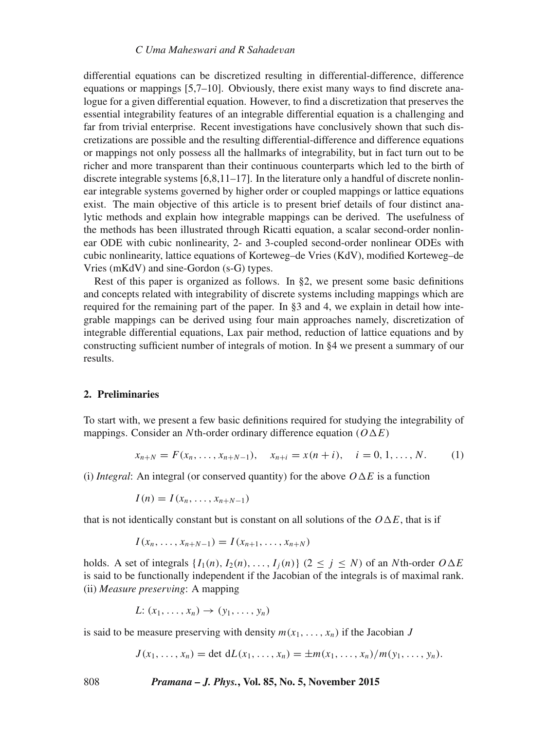# *C Uma Maheswari and R Sahade*v*an*

differential equations can be discretized resulting in differential-difference, difference equations or mappings [5,7–10]. Obviously, there exist many ways to find discrete analogue for a given differential equation. However, to find a discretization that preserves the essential integrability features of an integrable differential equation is a challenging and far from trivial enterprise. Recent investigations have conclusively shown that such discretizations are possible and the resulting differential-difference and difference equations or mappings not only possess all the hallmarks of integrability, but in fact turn out to be richer and more transparent than their continuous counterparts which led to the birth of discrete integrable systems  $[6,8,11-17]$ . In the literature only a handful of discrete nonlinear integrable systems governed by higher order or coupled mappings or lattice equations exist. The main objective of this article is to present brief details of four distinct analytic methods and explain how integrable mappings can be derived. The usefulness of the methods has been illustrated through Ricatti equation, a scalar second-order nonlinear ODE with cubic nonlinearity, 2- and 3-coupled second-order nonlinear ODEs with cubic nonlinearity, lattice equations of Korteweg–de Vries (KdV), modified Korteweg–de Vries (mKdV) and sine-Gordon (s-G) types.

Rest of this paper is organized as follows. In §2, we present some basic definitions and concepts related with integrability of discrete systems including mappings which are required for the remaining part of the paper. In §3 and 4, we explain in detail how integrable mappings can be derived using four main approaches namely, discretization of integrable differential equations, Lax pair method, reduction of lattice equations and by constructing sufficient number of integrals of motion. In §4 we present a summary of our results.

# **2. Preliminaries**

To start with, we present a few basic definitions required for studying the integrability of mappings. Consider an Nth-order ordinary difference equation  $(O \Delta E)$ 

$$
x_{n+N} = F(x_n, \ldots, x_{n+N-1}), \quad x_{n+i} = x(n+i), \quad i = 0, 1, \ldots, N. \tag{1}
$$

(i) *Integral*: An integral (or conserved quantity) for the above  $O \Delta E$  is a function

 $I(n) = I(x_n, \ldots, x_{n+N-1})$ 

that is not identically constant but is constant on all solutions of the  $O \Delta E$ , that is if

$$
I(x_n, ..., x_{n+N-1}) = I(x_{n+1}, ..., x_{n+N})
$$

holds. A set of integrals  $\{I_1(n), I_2(n), \ldots, I_j(n)\}$   $(2 \le j \le N)$  of an Nth-order  $O \Delta E$ is said to be functionally independent if the Jacobian of the integrals is of maximal rank. (ii) *Measure preser*v*ing*: A mapping

$$
L: (x_1, \ldots, x_n) \to (y_1, \ldots, y_n)
$$

is said to be measure preserving with density  $m(x_1, \ldots, x_n)$  if the Jacobian J

$$
J(x_1, ..., x_n) = \det dL(x_1, ..., x_n) = \pm m(x_1, ..., x_n)/m(y_1, ..., y_n).
$$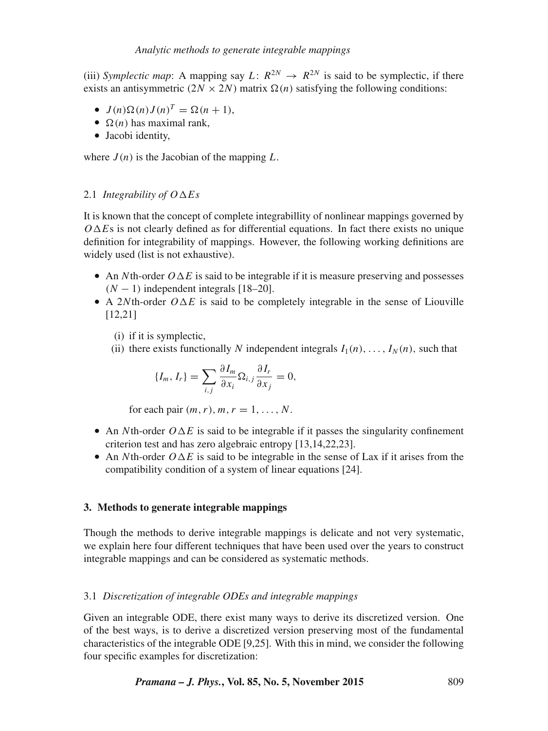(iii) *Symplectic map*: A mapping say  $L: R^{2N} \to R^{2N}$  is said to be symplectic, if there exists an antisymmetric  $(2N \times 2N)$  matrix  $\Omega(n)$  satisfying the following conditions:

- $J(n)\Omega(n)J(n)^{T} = \Omega(n + 1),$
- $\Omega(n)$  has maximal rank,
- Jacobi identity,

where  $J(n)$  is the Jacobian of the mapping L.

# 2.1 *Integrability of*  $O \Delta E$ *s*

It is known that the concept of complete integrabillity of nonlinear mappings governed by  $O \Delta E$ s is not clearly defined as for differential equations. In fact there exists no unique definition for integrability of mappings. However, the following working definitions are widely used (list is not exhaustive).

- An Nth-order  $O \Delta E$  is said to be integrable if it is measure preserving and possesses  $(N - 1)$  independent integrals [18–20].
- A 2Nth-order  $O \Delta E$  is said to be completely integrable in the sense of Liouville [12,21]
	- (i) if it is symplectic,
	- (ii) there exists functionally N independent integrals  $I_1(n), \ldots, I_N(n)$ , such that

$$
\{I_m, I_r\} = \sum_{i,j} \frac{\partial I_m}{\partial x_i} \Omega_{i,j} \frac{\partial I_r}{\partial x_j} = 0,
$$

for each pair  $(m, r)$ ,  $m, r = 1, \ldots, N$ .

- An Nth-order  $O \Delta E$  is said to be integrable if it passes the singularity confinement criterion test and has zero algebraic entropy [13,14,22,23].
- An Nth-order  $O \Delta E$  is said to be integrable in the sense of Lax if it arises from the compatibility condition of a system of linear equations [24].

# **3. Methods to generate integrable mappings**

Though the methods to derive integrable mappings is delicate and not very systematic, we explain here four different techniques that have been used over the years to construct integrable mappings and can be considered as systematic methods.

# 3.1 *Discretization of integrable ODEs and integrable mappings*

Given an integrable ODE, there exist many ways to derive its discretized version. One of the best ways, is to derive a discretized version preserving most of the fundamental characteristics of the integrable ODE [9,25]. With this in mind, we consider the following four specific examples for discretization: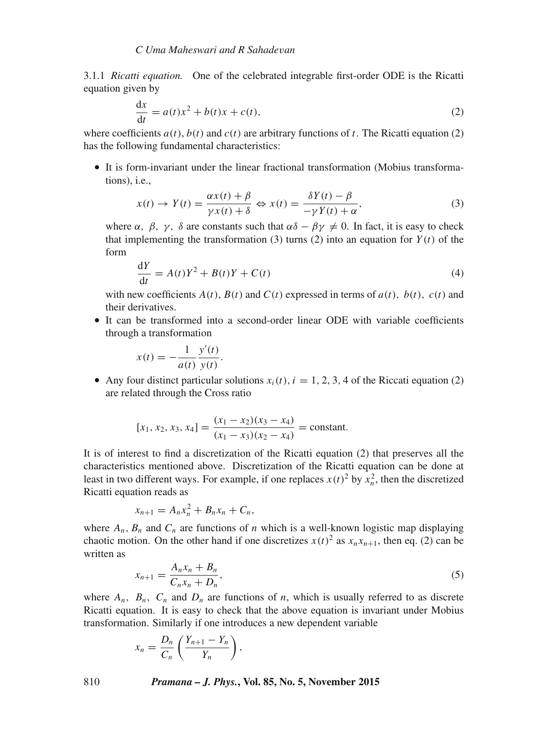3.1.1 *Ricatti equation.* One of the celebrated integrable first-order ODE is the Ricatti equation given by

$$
\frac{dx}{dt} = a(t)x^2 + b(t)x + c(t),
$$
\n(2)

where coefficients  $a(t)$ ,  $b(t)$  and  $c(t)$  are arbitrary functions of t. The Ricatti equation (2) has the following fundamental characteristics:

• It is form-invariant under the linear fractional transformation (Mobius transformations), i.e.,

$$
x(t) \to Y(t) = \frac{\alpha x(t) + \beta}{\gamma x(t) + \delta} \Leftrightarrow x(t) = \frac{\delta Y(t) - \beta}{-\gamma Y(t) + \alpha},
$$
\n(3)

where  $\alpha$ ,  $\beta$ ,  $\gamma$ ,  $\delta$  are constants such that  $\alpha\delta - \beta\gamma \neq 0$ . In fact, it is easy to check that implementing the transformation (3) turns (2) into an equation for  $Y(t)$  of the form

$$
\frac{dY}{dt} = A(t)Y^2 + B(t)Y + C(t)
$$
\n(4)

with new coefficients  $A(t)$ ,  $B(t)$  and  $C(t)$  expressed in terms of  $a(t)$ ,  $b(t)$ ,  $c(t)$  and their derivatives.

• It can be transformed into a second-order linear ODE with variable coefficients through a transformation

$$
x(t) = -\frac{1}{a(t)} \frac{y'(t)}{y(t)}.
$$

• Any four distinct particular solutions  $x_i(t)$ ,  $i = 1, 2, 3, 4$  of the Riccati equation (2) are related through the Cross ratio

$$
[x_1, x_2, x_3, x_4] = \frac{(x_1 - x_2)(x_3 - x_4)}{(x_1 - x_3)(x_2 - x_4)} = \text{constant}.
$$

It is of interest to find a discretization of the Ricatti equation (2) that preserves all the characteristics mentioned above. Discretization of the Ricatti equation can be done at least in two different ways. For example, if one replaces  $x(t)^2$  by  $x_n^2$ , then the discretized Ricatti equation reads as

$$
x_{n+1}=A_nx_n^2+B_nx_n+C_n,
$$

where  $A_n$ ,  $B_n$  and  $C_n$  are functions of n which is a well-known logistic map displaying chaotic motion. On the other hand if one discretizes  $x(t)^2$  as  $x_n x_{n+1}$ , then eq. (2) can be written as

$$
x_{n+1} = \frac{A_n x_n + B_n}{C_n x_n + D_n},
$$
\n(5)

where  $A_n$ ,  $B_n$ ,  $C_n$  and  $D_n$  are functions of n, which is usually referred to as discrete Ricatti equation. It is easy to check that the above equation is invariant under Mobius transformation. Similarly if one introduces a new dependent variable

$$
x_n = \frac{D_n}{C_n} \left( \frac{Y_{n+1} - Y_n}{Y_n} \right),
$$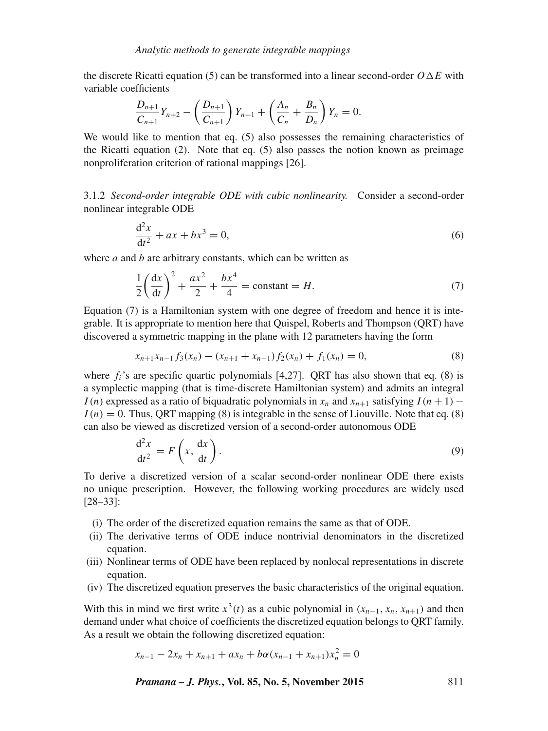the discrete Ricatti equation (5) can be transformed into a linear second-order  $O \Delta E$  with variable coefficients

$$
\frac{D_{n+1}}{C_{n+1}}Y_{n+2} - \left(\frac{D_{n+1}}{C_{n+1}}\right)Y_{n+1} + \left(\frac{A_n}{C_n} + \frac{B_n}{D_n}\right)Y_n = 0.
$$

We would like to mention that eq. (5) also possesses the remaining characteristics of the Ricatti equation (2). Note that eq. (5) also passes the notion known as preimage nonproliferation criterion of rational mappings [26].

3.1.2 *Second-order integrable ODE with cubic nonlinearity.* Consider a second-order nonlinear integrable ODE

$$
\frac{d^2x}{dt^2} + ax + bx^3 = 0,\t(6)
$$

where  $a$  and  $b$  are arbitrary constants, which can be written as

$$
\frac{1}{2}\left(\frac{dx}{dt}\right)^2 + \frac{ax^2}{2} + \frac{bx^4}{4} = \text{constant} = H.
$$
 (7)

Equation (7) is a Hamiltonian system with one degree of freedom and hence it is integrable. It is appropriate to mention here that Quispel, Roberts and Thompson (QRT) have discovered a symmetric mapping in the plane with 12 parameters having the form

$$
x_{n+1}x_{n-1}f_3(x_n) - (x_{n+1} + x_{n-1})f_2(x_n) + f_1(x_n) = 0,
$$
\n(8)

where  $f_i$ 's are specific quartic polynomials [4,27]. QRT has also shown that eq. (8) is a symplectic mapping (that is time-discrete Hamiltonian system) and admits an integral I (n) expressed as a ratio of biquadratic polynomials in  $x_n$  and  $x_{n+1}$  satisfying  $I(n+1)$  –  $I(n) = 0$ . Thus, ORT mapping (8) is integrable in the sense of Liouville. Note that eq. (8) can also be viewed as discretized version of a second-order autonomous ODE

$$
\frac{d^2x}{dt^2} = F\left(x, \frac{dx}{dt}\right). \tag{9}
$$

To derive a discretized version of a scalar second-order nonlinear ODE there exists no unique prescription. However, the following working procedures are widely used [28–33]:

- (i) The order of the discretized equation remains the same as that of ODE.
- (ii) The derivative terms of ODE induce nontrivial denominators in the discretized equation.
- (iii) Nonlinear terms of ODE have been replaced by nonlocal representations in discrete equation.
- (iv) The discretized equation preserves the basic characteristics of the original equation.

With this in mind we first write  $x^3(t)$  as a cubic polynomial in  $(x_{n-1}, x_n, x_{n+1})$  and then demand under what choice of coefficients the discretized equation belongs to QRT family. As a result we obtain the following discretized equation:

$$
x_{n-1} - 2x_n + x_{n+1} + ax_n + b\alpha (x_{n-1} + x_{n+1})x_n^2 = 0
$$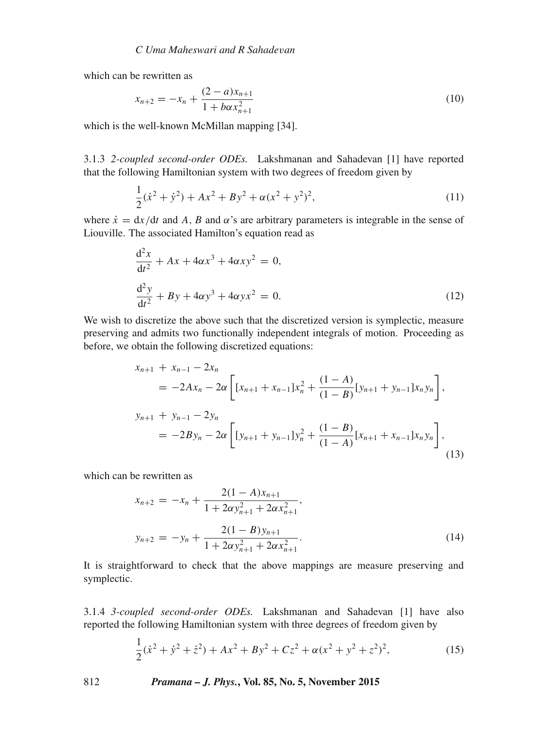which can be rewritten as

$$
x_{n+2} = -x_n + \frac{(2-a)x_{n+1}}{1 + b\alpha x_{n+1}^2}
$$
 (10)

which is the well-known McMillan mapping [34].

3.1.3 *2-coupled second-order ODEs.* Lakshmanan and Sahadevan [1] have reported that the following Hamiltonian system with two degrees of freedom given by

$$
\frac{1}{2}(\dot{x}^2 + \dot{y}^2) + Ax^2 + By^2 + \alpha(x^2 + y^2)^2,\tag{11}
$$

where  $\dot{x} = dx/dt$  and A, B and  $\alpha$ 's are arbitrary parameters is integrable in the sense of Liouville. The associated Hamilton's equation read as

$$
\frac{d^2x}{dt^2} + Ax + 4\alpha x^3 + 4\alpha xy^2 = 0,\n\frac{d^2y}{dt^2} + By + 4\alpha y^3 + 4\alpha yx^2 = 0.
$$
\n(12)

We wish to discretize the above such that the discretized version is symplectic, measure preserving and admits two functionally independent integrals of motion. Proceeding as before, we obtain the following discretized equations:

$$
x_{n+1} + x_{n-1} - 2x_n
$$
  
= -2Ax\_n - 2\alpha \left[ [x\_{n+1} + x\_{n-1}]x\_n^2 + \frac{(1-A)}{(1-B)}[y\_{n+1} + y\_{n-1}]x\_n y\_n \right],  

$$
y_{n+1} + y_{n-1} - 2y_n
$$
  
= -2By\_n - 2\alpha \left[ [y\_{n+1} + y\_{n-1}]y\_n^2 + \frac{(1-B)}{(1-A)}[x\_{n+1} + x\_{n-1}]x\_n y\_n \right], (13)

which can be rewritten as

$$
x_{n+2} = -x_n + \frac{2(1-A)x_{n+1}}{1+2\alpha y_{n+1}^2 + 2\alpha x_{n+1}^2},
$$
  

$$
y_{n+2} = -y_n + \frac{2(1-B)y_{n+1}}{1+2\alpha y_{n+1}^2 + 2\alpha x_{n+1}^2}.
$$
 (14)

It is straightforward to check that the above mappings are measure preserving and symplectic.

3.1.4 *3-coupled second-order ODEs.* Lakshmanan and Sahadevan [1] have also reported the following Hamiltonian system with three degrees of freedom given by

$$
\frac{1}{2}(\dot{x}^2 + \dot{y}^2 + \dot{z}^2) + Ax^2 + By^2 + Cz^2 + \alpha(x^2 + y^2 + z^2)^2,
$$
\n(15)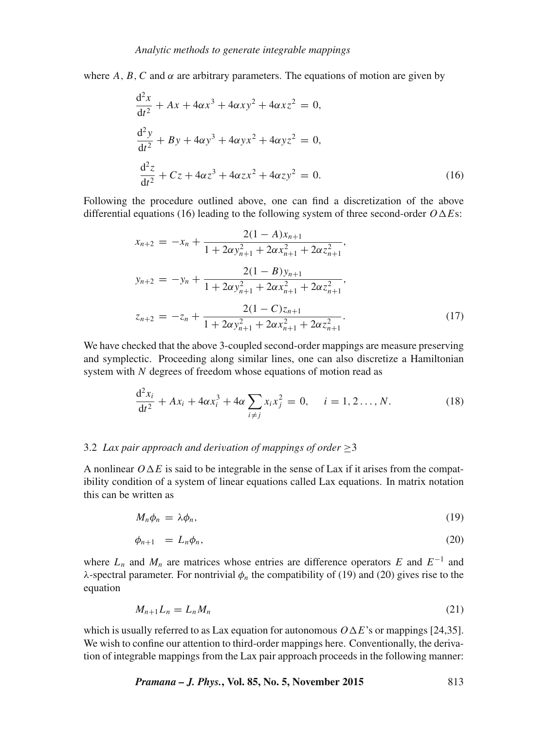where A, B, C and  $\alpha$  are arbitrary parameters. The equations of motion are given by

$$
\frac{d^2x}{dt^2} + Ax + 4\alpha x^3 + 4\alpha xy^2 + 4\alpha xz^2 = 0,\n\frac{d^2y}{dt^2} + By + 4\alpha y^3 + 4\alpha yx^2 + 4\alpha yz^2 = 0,\n\frac{d^2z}{dt^2} + Cz + 4\alpha z^3 + 4\alpha zx^2 + 4\alpha zy^2 = 0.
$$
\n(16)

Following the procedure outlined above, one can find a discretization of the above differential equations (16) leading to the following system of three second-order  $O \Delta E$ s:

$$
x_{n+2} = -x_n + \frac{2(1-A)x_{n+1}}{1+2\alpha y_{n+1}^2 + 2\alpha x_{n+1}^2 + 2\alpha z_{n+1}^2},
$$
  
\n
$$
y_{n+2} = -y_n + \frac{2(1-B)y_{n+1}}{1+2\alpha y_{n+1}^2 + 2\alpha x_{n+1}^2 + 2\alpha z_{n+1}^2},
$$
  
\n
$$
z_{n+2} = -z_n + \frac{2(1-C)z_{n+1}}{1+2\alpha y_{n+1}^2 + 2\alpha x_{n+1}^2 + 2\alpha z_{n+1}^2}.
$$
\n(17)

We have checked that the above 3-coupled second-order mappings are measure preserving and symplectic. Proceeding along similar lines, one can also discretize a Hamiltonian system with N degrees of freedom whose equations of motion read as

$$
\frac{d^2x_i}{dt^2} + Ax_i + 4\alpha x_i^3 + 4\alpha \sum_{i \neq j} x_i x_j^2 = 0, \quad i = 1, 2, ..., N.
$$
 (18)

#### 3.2 *Lax pair approach and derivation of mappings of order*  $\geq$ 3

A nonlinear  $O \Delta E$  is said to be integrable in the sense of Lax if it arises from the compatibility condition of a system of linear equations called Lax equations. In matrix notation this can be written as

$$
M_n \phi_n = \lambda \phi_n, \tag{19}
$$

$$
\phi_{n+1} = L_n \phi_n,\tag{20}
$$

where  $L_n$  and  $M_n$  are matrices whose entries are difference operators E and  $E^{-1}$  and λ-spectral parameter. For nontrivial  $φ_n$  the compatibility of (19) and (20) gives rise to the equation

$$
M_{n+1}L_n = L_n M_n \tag{21}
$$

which is usually referred to as Lax equation for autonomous  $O \Delta E$ 's or mappings [24,35]. We wish to confine our attention to third-order mappings here. Conventionally, the derivation of integrable mappings from the Lax pair approach proceeds in the following manner:

*Pramana – J. Phys.***, Vol. 85, No. 5, November 2015** 813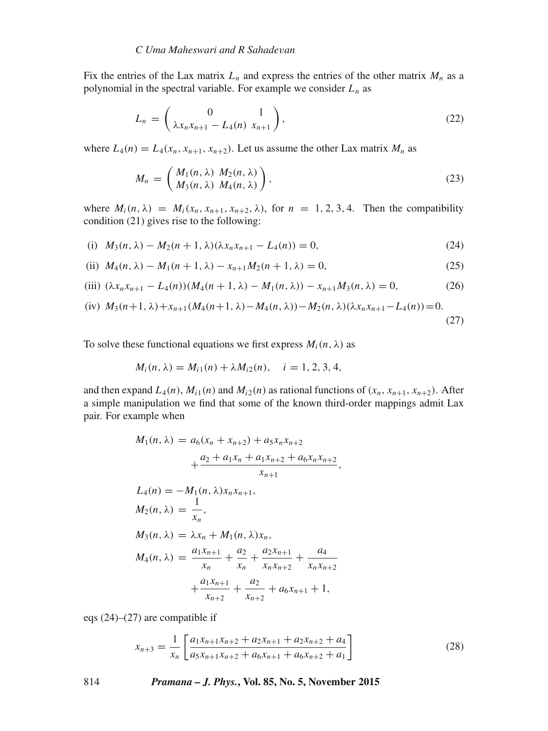Fix the entries of the Lax matrix  $L_n$  and express the entries of the other matrix  $M_n$  as a polynomial in the spectral variable. For example we consider  $L_n$  as

$$
L_n = \begin{pmatrix} 0 & 1 \\ \lambda x_n x_{n+1} - L_4(n) & x_{n+1} \end{pmatrix},
$$
 (22)

where  $L_4(n) = L_4(x_n, x_{n+1}, x_{n+2})$ . Let us assume the other Lax matrix  $M_n$  as

$$
M_n = \begin{pmatrix} M_1(n,\lambda) & M_2(n,\lambda) \\ M_3(n,\lambda) & M_4(n,\lambda) \end{pmatrix},
$$
\n(23)

where  $M_i(n, \lambda) = M_i(x_n, x_{n+1}, x_{n+2}, \lambda)$ , for  $n = 1, 2, 3, 4$ . Then the compatibility condition (21) gives rise to the following:

(i) 
$$
M_3(n, \lambda) - M_2(n+1, \lambda)(\lambda x_n x_{n+1} - L_4(n)) = 0,
$$
 (24)

(ii) 
$$
M_4(n, \lambda) - M_1(n+1, \lambda) - x_{n+1}M_2(n+1, \lambda) = 0,
$$
 (25)

(iii) 
$$
(\lambda x_n x_{n+1} - L_4(n))(M_4(n+1, \lambda) - M_1(n, \lambda)) - x_{n+1} M_3(n, \lambda) = 0,
$$
 (26)

(iv) 
$$
M_3(n+1, \lambda) + x_{n+1}(M_4(n+1, \lambda) - M_4(n, \lambda)) - M_2(n, \lambda)(\lambda x_n x_{n+1} - L_4(n)) = 0.
$$
 (27)

To solve these functional equations we first express  $M_i(n, \lambda)$  as

$$
M_i(n, \lambda) = M_{i1}(n) + \lambda M_{i2}(n), \quad i = 1, 2, 3, 4,
$$

and then expand  $L_4(n)$ ,  $M_{i1}(n)$  and  $M_{i2}(n)$  as rational functions of  $(x_n, x_{n+1}, x_{n+2})$ . After a simple manipulation we find that some of the known third-order mappings admit Lax pair. For example when

$$
M_1(n, \lambda) = a_6(x_n + x_{n+2}) + a_5x_nx_{n+2}
$$
  
+ 
$$
\frac{a_2 + a_1x_n + a_1x_{n+2} + a_6x_nx_{n+2}}{x_{n+1}},
$$
  

$$
L_4(n) = -M_1(n, \lambda)x_nx_{n+1},
$$
  

$$
M_2(n, \lambda) = \frac{1}{x_n},
$$
  

$$
M_3(n, \lambda) = \lambda x_n + M_1(n, \lambda)x_n,
$$
  

$$
M_4(n, \lambda) = \frac{a_1x_{n+1}}{x_n} + \frac{a_2}{x_n} + \frac{a_2x_{n+1}}{x_nx_{n+2}} + \frac{a_4}{x_nx_{n+2}}
$$
  
+ 
$$
\frac{a_1x_{n+1}}{x_{n+2}} + \frac{a_2}{x_{n+2}} + a_6x_{n+1} + 1,
$$

eqs (24)–(27) are compatible if

$$
x_{n+3} = \frac{1}{x_n} \left[ \frac{a_1 x_{n+1} x_{n+2} + a_2 x_{n+1} + a_2 x_{n+2} + a_4}{a_5 x_{n+1} x_{n+2} + a_6 x_{n+1} + a_6 x_{n+2} + a_1} \right]
$$
(28)

814 *Pramana – J. Phys.***, Vol. 85, No. 5, November 2015**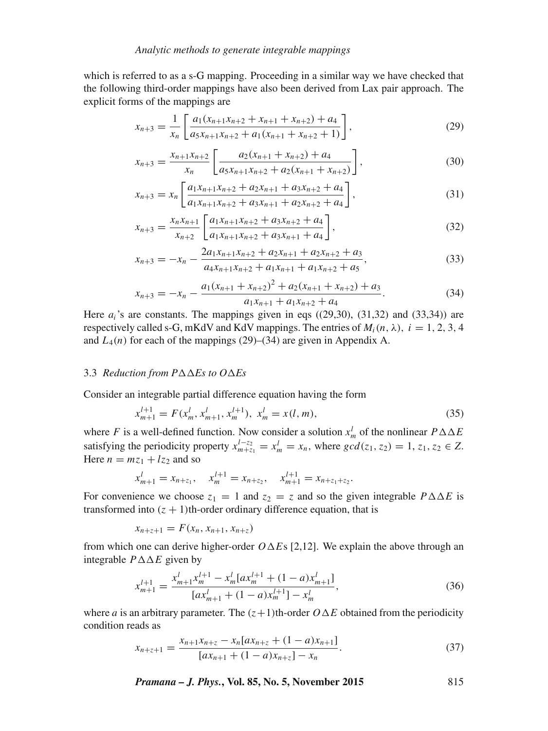which is referred to as a s-G mapping. Proceeding in a similar way we have checked that the following third-order mappings have also been derived from Lax pair approach. The explicit forms of the mappings are

$$
x_{n+3} = \frac{1}{x_n} \left[ \frac{a_1(x_{n+1}x_{n+2} + x_{n+1} + x_{n+2}) + a_4}{a_5 x_{n+1} x_{n+2} + a_1 (x_{n+1} + x_{n+2} + 1)} \right],
$$
(29)

$$
x_{n+3} = \frac{x_{n+1}x_{n+2}}{x_n} \left[ \frac{a_2(x_{n+1} + x_{n+2}) + a_4}{a_5 x_{n+1} x_{n+2} + a_2 (x_{n+1} + x_{n+2})} \right],
$$
(30)

$$
x_{n+3} = x_n \left[ \frac{a_1 x_{n+1} x_{n+2} + a_2 x_{n+1} + a_3 x_{n+2} + a_4}{a_1 x_{n+1} x_{n+2} + a_3 x_{n+1} + a_2 x_{n+2} + a_4} \right],
$$
\n(31)

$$
x_{n+3} = \frac{x_n x_{n+1}}{x_{n+2}} \left[ \frac{a_1 x_{n+1} x_{n+2} + a_3 x_{n+2} + a_4}{a_1 x_{n+1} x_{n+2} + a_3 x_{n+1} + a_4} \right],
$$
\n(32)

$$
x_{n+3} = -x_n - \frac{2a_1x_{n+1}x_{n+2} + a_2x_{n+1} + a_2x_{n+2} + a_3}{a_4x_{n+1}x_{n+2} + a_1x_{n+1} + a_1x_{n+2} + a_5},
$$
\n(33)

$$
x_{n+3} = -x_n - \frac{a_1(x_{n+1} + x_{n+2})^2 + a_2(x_{n+1} + x_{n+2}) + a_3}{a_1 x_{n+1} + a_1 x_{n+2} + a_4}.
$$
 (34)

Here  $a_i$ 's are constants. The mappings given in eqs  $((29,30), (31,32)$  and  $(33,34)$ ) are respectively called s-G, mKdV and KdV mappings. The entries of  $M_i(n, \lambda)$ ,  $i = 1, 2, 3, 4$ and  $L_4(n)$  for each of the mappings (29)–(34) are given in Appendix A.

#### 3.3 *Reduction from P* $\triangle \triangle E$ *s to O* $\triangle E$ *s*

Consider an integrable partial difference equation having the form

$$
x_{m+1}^{l+1} = F(x_m^l, x_{m+1}^l, x_m^{l+1}), \ x_m^l = x(l, m), \tag{35}
$$

where F is a well-defined function. Now consider a solution  $x_m^l$  of the nonlinear  $P \Delta \Delta E$ satisfying the periodicity property  $x_{m+z_1}^{l-z_2} = x_m^l = x_n$ , where  $gcd(z_1, z_2) = 1, z_1, z_2 \in Z$ . Here  $n = mz_1 + lz_2$  and so

$$
x_{m+1}^l = x_{n+z_1}, \quad x_m^{l+1} = x_{n+z_2}, \quad x_{m+1}^{l+1} = x_{n+z_1+z_2}.
$$

For convenience we choose  $z_1 = 1$  and  $z_2 = z$  and so the given integrable  $P \Delta \Delta E$  is transformed into  $(z + 1)$ th-order ordinary difference equation, that is

$$
x_{n+z+1} = F(x_n, x_{n+1}, x_{n+z})
$$

from which one can derive higher-order  $O \Delta E$ s [2,12]. We explain the above through an integrable  $P \Delta \Delta E$  given by

$$
x_{m+1}^{l+1} = \frac{x_{m+1}^{l} x_m^{l+1} - x_m^l [a x_m^{l+1} + (1 - a) x_{m+1}^l]}{[a x_{m+1}^l + (1 - a) x_m^{l+1}] - x_m^l},\tag{36}
$$

where *a* is an arbitrary parameter. The  $(z+1)$ th-order  $O \Delta E$  obtained from the periodicity condition reads as

$$
x_{n+z+1} = \frac{x_{n+1}x_{n+z} - x_n [ax_{n+z} + (1-a)x_{n+1}]}{[ax_{n+1} + (1-a)x_{n+z}] - x_n}.
$$
\n(37)

*Pramana – J. Phys.***, Vol. 85, No. 5, November 2015** 815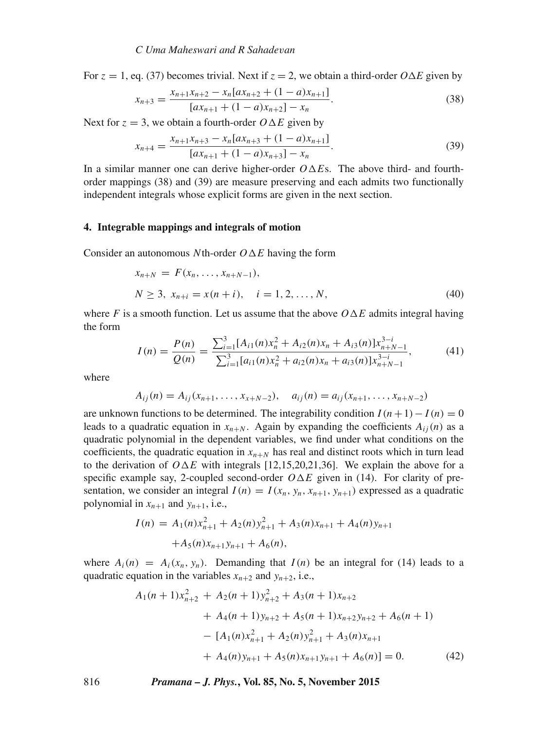For  $z = 1$ , eq. (37) becomes trivial. Next if  $z = 2$ , we obtain a third-order  $O \Delta E$  given by

$$
x_{n+3} = \frac{x_{n+1}x_{n+2} - x_n [ax_{n+2} + (1-a)x_{n+1}]}{[ax_{n+1} + (1-a)x_{n+2}] - x_n}.
$$
 (38)

Next for  $z = 3$ , we obtain a fourth-order  $O \Delta E$  given by

$$
x_{n+4} = \frac{x_{n+1}x_{n+3} - x_n [ax_{n+3} + (1-a)x_{n+1}]}{[ax_{n+1} + (1-a)x_{n+3}] - x_n}.
$$
 (39)

In a similar manner one can derive higher-order  $O \Delta E$ s. The above third- and fourthorder mappings (38) and (39) are measure preserving and each admits two functionally independent integrals whose explicit forms are given in the next section.

#### **4. Integrable mappings and integrals of motion**

Consider an autonomous Nth-order  $O \Delta E$  having the form

$$
x_{n+N} = F(x_n, \dots, x_{n+N-1}),
$$
  
\n
$$
N \ge 3, x_{n+i} = x(n+i), \quad i = 1, 2, \dots, N,
$$
\n(40)

where F is a smooth function. Let us assume that the above  $O \Delta E$  admits integral having the form

$$
I(n) = \frac{P(n)}{Q(n)} = \frac{\sum_{i=1}^{3} [A_{i1}(n)x_n^2 + A_{i2}(n)x_n + A_{i3}(n)]x_{n+N-1}^{3-i}}{\sum_{i=1}^{3} [a_{i1}(n)x_n^2 + a_{i2}(n)x_n + a_{i3}(n)]x_{n+N-1}^{3-i}},
$$
(41)

where

$$
A_{ij}(n) = A_{ij}(x_{n+1},\ldots,x_{x+N-2}), \quad a_{ij}(n) = a_{ij}(x_{n+1},\ldots,x_{n+N-2})
$$

are unknown functions to be determined. The integrability condition  $I(n+1)-I(n) = 0$ leads to a quadratic equation in  $x_{n+N}$ . Again by expanding the coefficients  $A_{ij}(n)$  as a quadratic polynomial in the dependent variables, we find under what conditions on the coefficients, the quadratic equation in  $x_{n+N}$  has real and distinct roots which in turn lead to the derivation of  $O \Delta E$  with integrals [12,15,20,21,36]. We explain the above for a specific example say, 2-coupled second-order  $O \Delta E$  given in (14). For clarity of presentation, we consider an integral  $I(n) = I(x_n, y_n, x_{n+1}, y_{n+1})$  expressed as a quadratic polynomial in  $x_{n+1}$  and  $y_{n+1}$ , i.e.,

$$
I(n) = A_1(n)x_{n+1}^2 + A_2(n)y_{n+1}^2 + A_3(n)x_{n+1} + A_4(n)y_{n+1} + A_5(n)x_{n+1}y_{n+1} + A_6(n),
$$

where  $A_i(n) = A_i(x_n, y_n)$ . Demanding that  $I(n)$  be an integral for (14) leads to a quadratic equation in the variables  $x_{n+2}$  and  $y_{n+2}$ , i.e.,

$$
A_1(n+1)x_{n+2}^2 + A_2(n+1)y_{n+2}^2 + A_3(n+1)x_{n+2}
$$
  
+  $A_4(n+1)y_{n+2} + A_5(n+1)x_{n+2}y_{n+2} + A_6(n+1)$   
-  $[A_1(n)x_{n+1}^2 + A_2(n)y_{n+1}^2 + A_3(n)x_{n+1}$   
+  $A_4(n)y_{n+1} + A_5(n)x_{n+1}y_{n+1} + A_6(n)] = 0.$  (42)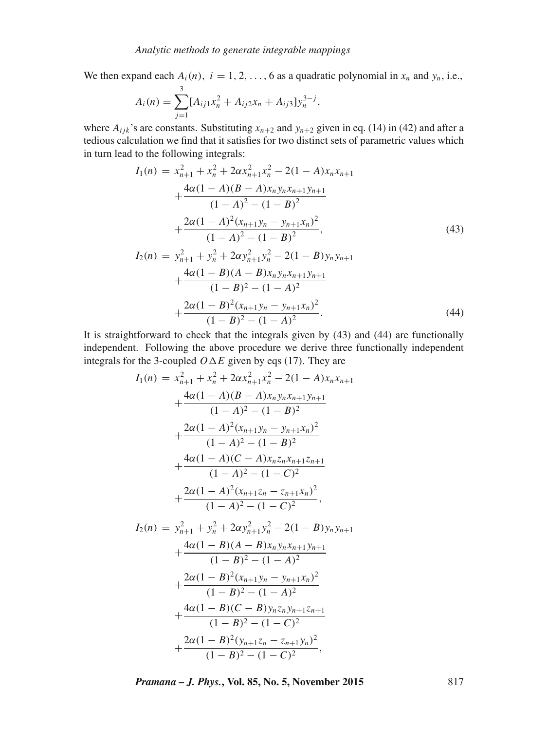We then expand each  $A_i(n)$ ,  $i = 1, 2, \ldots, 6$  as a quadratic polynomial in  $x_n$  and  $y_n$ , i.e.,

$$
A_i(n) = \sum_{j=1}^3 [A_{ij1}x_n^2 + A_{ij2}x_n + A_{ij3}]y_n^{3-j},
$$

where  $A_{ijk}$ 's are constants. Substituting  $x_{n+2}$  and  $y_{n+2}$  given in eq. (14) in (42) and after a tedious calculation we find that it satisfies for two distinct sets of parametric values which in turn lead to the following integrals:

$$
I_{1}(n) = x_{n+1}^{2} + x_{n}^{2} + 2\alpha x_{n+1}^{2}x_{n}^{2} - 2(1 - A)x_{n}x_{n+1}
$$
  
+ 
$$
\frac{4\alpha(1 - A)(B - A)x_{n}y_{n}x_{n+1}y_{n+1}}{(1 - A)^{2} - (1 - B)^{2}}
$$
  
+ 
$$
\frac{2\alpha(1 - A)^{2}(x_{n+1}y_{n} - y_{n+1}x_{n})^{2}}{(1 - A)^{2} - (1 - B)^{2}},
$$
  

$$
I_{2}(n) = y_{n+1}^{2} + y_{n}^{2} + 2\alpha y_{n+1}^{2}y_{n}^{2} - 2(1 - B)y_{n}y_{n+1}
$$
  
+ 
$$
\frac{4\alpha(1 - B)(A - B)x_{n}y_{n}x_{n+1}y_{n+1}}{(1 - B)^{2} - (1 - A)^{2}}
$$
  
+ 
$$
\frac{2\alpha(1 - B)^{2}(x_{n+1}y_{n} - y_{n+1}x_{n})^{2}}{(1 - B)^{2} - (1 - A)^{2}}.
$$
  
(44)

It is straightforward to check that the integrals given by (43) and (44) are functionally independent. Following the above procedure we derive three functionally independent integrals for the 3-coupled  $O \Delta E$  given by eqs (17). They are

$$
I_{1}(n) = x_{n+1}^{2} + x_{n}^{2} + 2\alpha x_{n+1}^{2} x_{n}^{2} - 2(1 - A)x_{n}x_{n+1}
$$
  
+ 
$$
\frac{4\alpha(1 - A)(B - A)x_{n}y_{n}x_{n+1}y_{n+1}}{(1 - A)^{2} - (1 - B)^{2}}
$$
  
+ 
$$
\frac{2\alpha(1 - A)^{2}(x_{n+1}y_{n} - y_{n+1}x_{n})^{2}}{(1 - A)^{2} - (1 - B)^{2}}
$$
  
+ 
$$
\frac{4\alpha(1 - A)(C - A)x_{n}z_{n}x_{n+1}z_{n+1}}{(1 - A)^{2} - (1 - C)^{2}}
$$
  
+ 
$$
\frac{2\alpha(1 - A)^{2}(x_{n+1}z_{n} - z_{n+1}x_{n})^{2}}{(1 - A)^{2} - (1 - C)^{2}}
$$
  

$$
I_{2}(n) = y_{n+1}^{2} + y_{n}^{2} + 2\alpha y_{n+1}^{2}y_{n}^{2} - 2(1 - B)y_{n}y_{n+1}
$$
  
+ 
$$
\frac{4\alpha(1 - B)(A - B)x_{n}y_{n}x_{n+1}y_{n+1}}{(1 - B)^{2} - (1 - A)^{2}}
$$
  
+ 
$$
\frac{2\alpha(1 - B)^{2}(x_{n+1}y_{n} - y_{n+1}x_{n})^{2}}{(1 - B)^{2} - (1 - A)^{2}}
$$
  
+ 
$$
\frac{4\alpha(1 - B)(C - B)y_{n}z_{n}y_{n+1}z_{n+1}}{(1 - B)^{2} - (1 - C)^{2}}
$$
  
+ 
$$
\frac{2\alpha(1 - B)^{2}(y_{n+1}z_{n} - z_{n+1}y_{n})^{2}}{(1 - B)^{2} - (1 - C)^{2}}
$$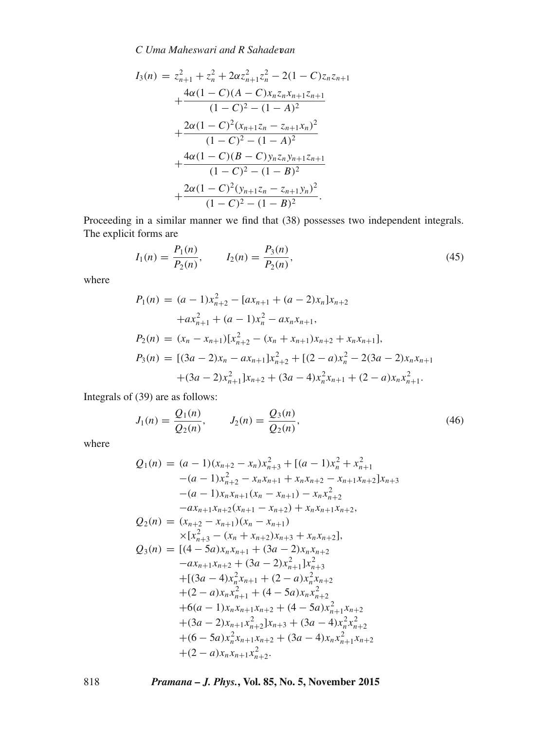*C Uma Maheswari and R Sahade*v*an*

$$
I_3(n) = z_{n+1}^2 + z_n^2 + 2\alpha z_{n+1}^2 z_n^2 - 2(1 - C)z_n z_{n+1}
$$
  
+ 
$$
\frac{4\alpha(1 - C)(A - C)x_n z_n x_{n+1} z_{n+1}}{(1 - C)^2 - (1 - A)^2}
$$
  
+ 
$$
\frac{2\alpha(1 - C)^2 (x_{n+1} z_n - z_{n+1} x_n)^2}{(1 - C)^2 - (1 - A)^2}
$$
  
+ 
$$
\frac{4\alpha(1 - C)(B - C)y_n z_n y_{n+1} z_{n+1}}{(1 - C)^2 - (1 - B)^2}
$$
  
+ 
$$
\frac{2\alpha(1 - C)^2 (y_{n+1} z_n - z_{n+1} y_n)^2}{(1 - C)^2 - (1 - B)^2}.
$$

Proceeding in a similar manner we find that (38) possesses two independent integrals. The explicit forms are

$$
I_1(n) = \frac{P_1(n)}{P_2(n)}, \qquad I_2(n) = \frac{P_3(n)}{P_2(n)},
$$
\n(45)

where

$$
P_1(n) = (a-1)x_{n+2}^2 - [ax_{n+1} + (a-2)x_n]x_{n+2}
$$
  
+ $ax_{n+1}^2 + (a-1)x_n^2 - ax_nx_{n+1}$ ,  

$$
P_2(n) = (x_n - x_{n+1})[x_{n+2}^2 - (x_n + x_{n+1})x_{n+2} + x_nx_{n+1}],
$$
  

$$
P_3(n) = [(3a-2)x_n - ax_{n+1}]x_{n+2}^2 + [(2-a)x_n^2 - 2(3a-2)x_nx_{n+1}
$$
  
+ $(3a-2)x_{n+1}^2]x_{n+2} + (3a-4)x_n^2x_{n+1} + (2-a)x_nx_{n+1}^2$ .

Integrals of (39) are as follows:

$$
J_1(n) = \frac{Q_1(n)}{Q_2(n)}, \qquad J_2(n) = \frac{Q_3(n)}{Q_2(n)},
$$
\n(46)

where

$$
Q_1(n) = (a - 1)(x_{n+2} - x_n)x_{n+3}^2 + [(a - 1)x_n^2 + x_{n+1}^2 - (a - 1)x_{n+2}^2 - x_nx_{n+1} + x_nx_{n+2} - x_{n+1}x_{n+2}]x_{n+3}
$$
  
\n
$$
-(a - 1)x_nx_{n+1}(x_n - x_{n+1}) - x_nx_{n+2}^2
$$
  
\n
$$
-ax_{n+1}x_{n+2}(x_{n+1} - x_{n+2}) + x_nx_{n+1}x_{n+2},
$$
  
\n
$$
Q_2(n) = (x_{n+2} - x_{n+1})(x_n - x_{n+1})
$$
  
\n
$$
\times [x_{n+3}^2 - (x_n + x_{n+2})x_{n+3} + x_nx_{n+2}],
$$
  
\n
$$
Q_3(n) = [(4 - 5a)x_nx_{n+1} + (3a - 2)x_nx_{n+2}
$$
  
\n
$$
-ax_{n+1}x_{n+2} + (3a - 2)x_{n+1}^2]x_{n+3}^2
$$
  
\n
$$
+(3a - 4)x_n^2x_{n+1} + (2 - a)x_n^2x_{n+2}
$$
  
\n
$$
+(6 - a)x_nx_{n+1} + (4 - 5a)x_nx_{n+2}^2
$$
  
\n
$$
+(3a - 2)x_{n+1}x_{n+2}^2 + (4 - 5a)x_n^2x_{n+2}^2
$$
  
\n
$$
+(6 - 5a)x_n^2x_{n+1}x_{n+2} + (3a - 4)x_n^2x_{n+2}^2
$$
  
\n
$$
+(6 - 5a)x_n^2x_{n+1}x_{n+2} + (3a - 4)x_nx_{n+1}^2x_{n+2}
$$
  
\n
$$
+(2 - a)x_nx_{n+1}x_{n+2}^2.
$$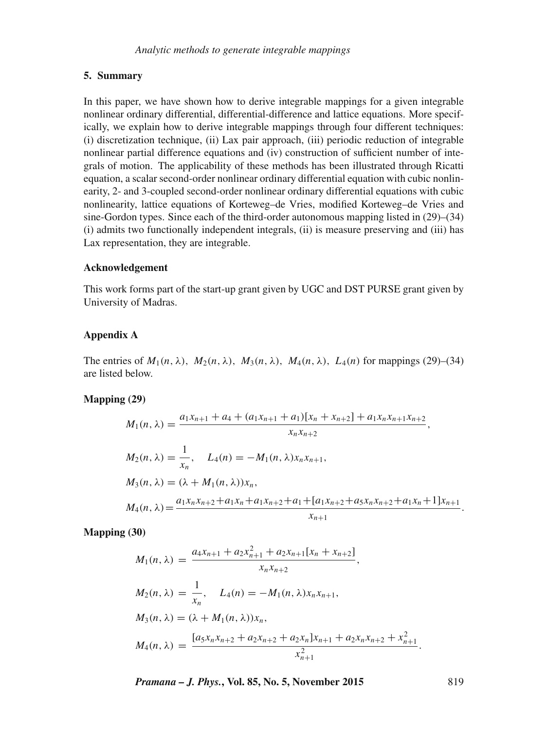# **5. Summary**

In this paper, we have shown how to derive integrable mappings for a given integrable nonlinear ordinary differential, differential-difference and lattice equations. More specifically, we explain how to derive integrable mappings through four different techniques: (i) discretization technique, (ii) Lax pair approach, (iii) periodic reduction of integrable nonlinear partial difference equations and (iv) construction of sufficient number of integrals of motion. The applicability of these methods has been illustrated through Ricatti equation, a scalar second-order nonlinear ordinary differential equation with cubic nonlinearity, 2- and 3-coupled second-order nonlinear ordinary differential equations with cubic nonlinearity, lattice equations of Korteweg–de Vries, modified Korteweg–de Vries and sine-Gordon types. Since each of the third-order autonomous mapping listed in (29)–(34) (i) admits two functionally independent integrals, (ii) is measure preserving and (iii) has Lax representation, they are integrable.

#### **Acknowledgement**

This work forms part of the start-up grant given by UGC and DST PURSE grant given by University of Madras.

# **Appendix A**

The entries of  $M_1(n, \lambda)$ ,  $M_2(n, \lambda)$ ,  $M_3(n, \lambda)$ ,  $M_4(n, \lambda)$ ,  $L_4(n)$  for mappings (29)–(34) are listed below.

#### **Mapping (29)**

$$
M_1(n, \lambda) = \frac{a_1x_{n+1} + a_4 + (a_1x_{n+1} + a_1)[x_n + x_{n+2}] + a_1x_nx_{n+1}x_{n+2}}{x_nx_{n+2}},
$$
  
\n
$$
M_2(n, \lambda) = \frac{1}{x_n}, \quad L_4(n) = -M_1(n, \lambda)x_nx_{n+1},
$$
  
\n
$$
M_3(n, \lambda) = (\lambda + M_1(n, \lambda))x_n,
$$
  
\n
$$
M_4(n, \lambda) = \frac{a_1x_nx_{n+2} + a_1x_n + a_1x_{n+2} + a_1 + [a_1x_{n+2} + a_5x_nx_{n+2} + a_1x_n + 1]x_{n+1}}{x_{n+1}}.
$$

**Mapping (30)**

$$
M_1(n, \lambda) = \frac{a_4 x_{n+1} + a_2 x_{n+1}^2 + a_2 x_{n+1} [x_n + x_{n+2}]}{x_n x_{n+2}},
$$
  
\n
$$
M_2(n, \lambda) = \frac{1}{x_n}, \quad L_4(n) = -M_1(n, \lambda) x_n x_{n+1},
$$
  
\n
$$
M_3(n, \lambda) = (\lambda + M_1(n, \lambda)) x_n,
$$
  
\n
$$
M_4(n, \lambda) = \frac{[a_5 x_n x_{n+2} + a_2 x_{n+2} + a_2 x_n] x_{n+1} + a_2 x_n x_{n+2} + x_{n+1}^2}{x_{n+1}^2}.
$$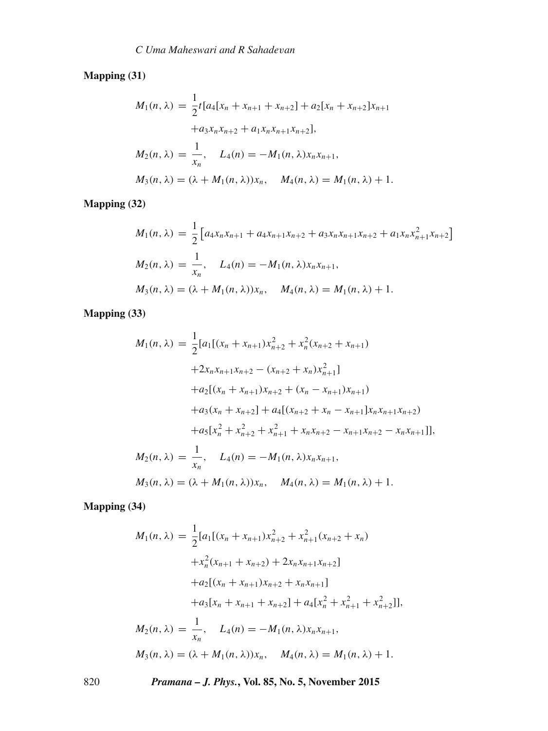**Mapping (31)**

$$
M_1(n, \lambda) = \frac{1}{2}t[a_4[x_n + x_{n+1} + x_{n+2}] + a_2[x_n + x_{n+2}]x_{n+1}
$$
  
+
$$
a_3x_nx_{n+2} + a_1x_nx_{n+1}x_{n+2}],
$$
  

$$
M_2(n, \lambda) = \frac{1}{x_n}, \quad L_4(n) = -M_1(n, \lambda)x_nx_{n+1},
$$
  

$$
M_3(n, \lambda) = (\lambda + M_1(n, \lambda))x_n, \quad M_4(n, \lambda) = M_1(n, \lambda) + 1.
$$

**Mapping (32)**

$$
M_1(n, \lambda) = \frac{1}{2} \left[ a_4 x_n x_{n+1} + a_4 x_{n+1} x_{n+2} + a_3 x_n x_{n+1} x_{n+2} + a_1 x_n x_{n+1}^2 x_{n+2} \right]
$$
  
\n
$$
M_2(n, \lambda) = \frac{1}{x_n}, \quad L_4(n) = -M_1(n, \lambda) x_n x_{n+1},
$$
  
\n
$$
M_3(n, \lambda) = (\lambda + M_1(n, \lambda)) x_n, \quad M_4(n, \lambda) = M_1(n, \lambda) + 1.
$$

**Mapping (33)**

$$
M_1(n, \lambda) = \frac{1}{2} [a_1[(x_n + x_{n+1})x_{n+2}^2 + x_n^2(x_{n+2} + x_{n+1})
$$
  
+2x\_nx\_{n+1}x\_{n+2} - (x\_{n+2} + x\_n)x\_{n+1}^2]  
+a\_2[(x\_n + x\_{n+1})x\_{n+2} + (x\_n - x\_{n+1})x\_{n+1})  
+a\_3(x\_n + x\_{n+2}] + a\_4[(x\_{n+2} + x\_n - x\_{n+1}]x\_nx\_{n+1}x\_{n+2})  
+a\_5[x\_n^2 + x\_{n+2}^2 + x\_{n+1}^2 + x\_nx\_{n+2} - x\_{n+1}x\_{n+2} - x\_nx\_{n+1}]],  
M\_2(n, \lambda) = \frac{1}{x\_n}, \quad L\_4(n) = -M\_1(n, \lambda)x\_nx\_{n+1},  
M\_3(n, \lambda) = (\lambda + M\_1(n, \lambda))x\_n, \quad M\_4(n, \lambda) = M\_1(n, \lambda) + 1.

**Mapping (34)**

$$
M_1(n, \lambda) = \frac{1}{2} [a_1[(x_n + x_{n+1})x_{n+2}^2 + x_{n+1}^2(x_{n+2} + x_n)
$$
  
\n
$$
+ x_n^2(x_{n+1} + x_{n+2}) + 2x_n x_{n+1}x_{n+2}]
$$
  
\n
$$
+ a_2[(x_n + x_{n+1})x_{n+2} + x_n x_{n+1}]
$$
  
\n
$$
+ a_3[x_n + x_{n+1} + x_{n+2}] + a_4[x_n^2 + x_{n+1}^2 + x_{n+2}^2]],
$$
  
\n
$$
M_2(n, \lambda) = \frac{1}{x_n}, \quad L_4(n) = -M_1(n, \lambda)x_n x_{n+1},
$$
  
\n
$$
M_3(n, \lambda) = (\lambda + M_1(n, \lambda))x_n, \quad M_4(n, \lambda) = M_1(n, \lambda) + 1.
$$